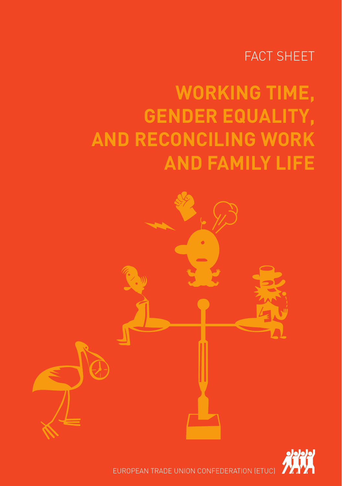### FACT SHEET

# **WORKING TIME, GENDER EQUALITY, AND RECONCILING WORK AND FAMILY LIFE**





EUROPEAN TRADE UNION CONFEDERATION (ETUC)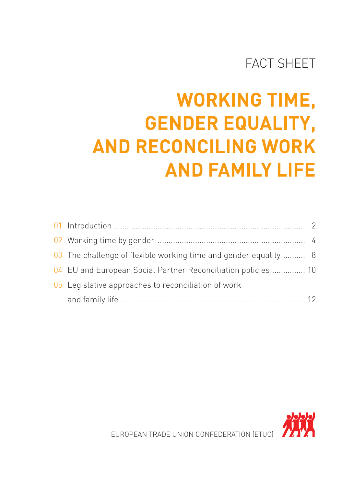### FACT SHEET

# **WORKING TIME, GENDER EQUALITY, AND RECONCILING WORK AND FAMILY LIFE**

| 03 The challenge of flexible working time and gender equality 8 |  |
|-----------------------------------------------------------------|--|
| 04 EU and European Social Partner Reconciliation policies 10    |  |
| 05 Legislative approaches to reconciliation of work             |  |
|                                                                 |  |

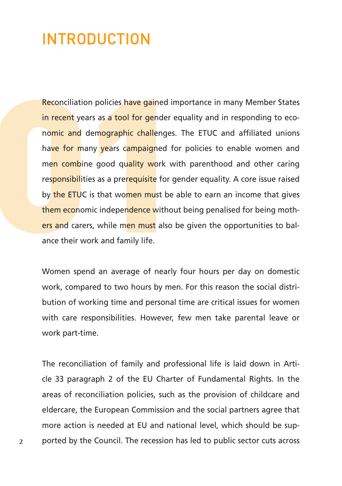### INTRODUCTION

Reconciliation policies have gained importance in many Member States in recent years as a tool for gender equality and in responding to economic and demographic challenges. The ETUC and affiliated unions have for many years campaigned for policies to enable women and men combine good quality work with parenthood and other caring responsibilities as a prerequisite for gender equality. A core issue raised by the ETUC is that women must be able to earn an income that gives them economic independence without being penalised for being mothers and carers, while men must also be given the opportunities to balance their work and family life. **INTRODUCTION**<br>**Reconciliation policies have gained importance in many N**<br>**in recent** years as **a tool for gender** equality and in respo<br>**nomic and demographic challenges**. The ETUC and affi<br>**have for many years campaigned** 

Women spend an average of nearly four hours per day on domestic work, compared to two hours by men. For this reason the social distribution of working time and personal time are critical issues for women with care responsibilities. However, few men take parental leave or work part-time.

The reconciliation of family and professional life is laid down in Article 33 paragraph 2 of the EU Charter of Fundamental Rights. In the areas of reconciliation policies, such as the provision of childcare and eldercare, the European Commission and the social partners agree that more action is needed at EU and national level, which should be supported by the Council. The recession has led to public sector cuts across

**2**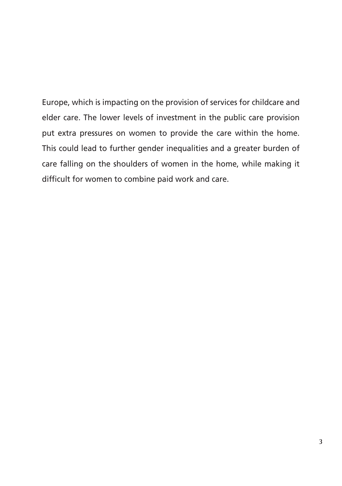Europe, which is impacting on the provision of services for childcare and elder care. The lower levels of investment in the public care provision put extra pressures on women to provide the care within the home. This could lead to further gender inequalities and a greater burden of care falling on the shoulders of women in the home, while making it difficult for women to combine paid work and care.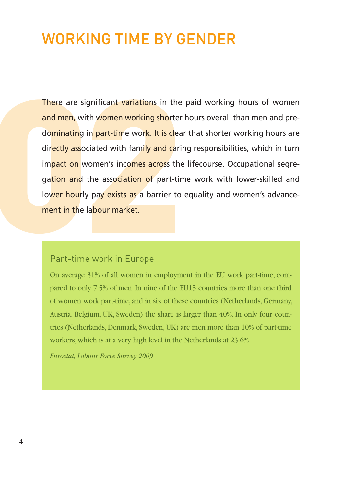### WORKING TIME BY GENDER

There are significant variations in the paid working hours of women and men, with women working shorter hours overall than men and predominating in part-time work. It is clear that shorter working hours are directly associated with family and caring responsibilities, which in turn impact on women's incomes across the lifecourse. Occupational segregation and the association of part-time work with lower-skilled and lower hourly pay exists as a barrier to equality and women's advance-There are significant variations in the<br>and men, with women working shorter<br>dominating in part-time work. It is clea<br>directly associated with family and carii<br>impact on women's incomes across the<br>gation and the association **VORKING TIME BY GENDER**<br> **Example 31 SERV SENDER**<br> **Example 31 Server Average 31 Server Average 31 Serveral strain women and prominating in part-time work. It is dear that shorter working hours are<br>
<u>rectly</u> associated wi** 

#### Part-time work in Europe

pared to only 7.5% of men. In nine of the EU15 countries more than one third of women work part-time, and in six of these countries (Netherlands, Germany, Austria, Belgium, UK, Sweden) the share is larger than 40%. In only four countries (Netherlands, Denmark, Sweden, UK) are men more than 10% of part-time workers, which is at a very high level in the Netherlands at 23.6%

*Eurostat, Labour Force Survey 2009*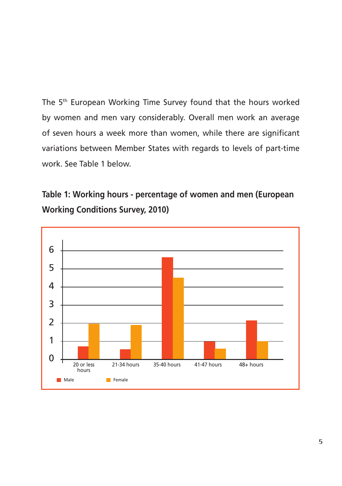The 5<sup>th</sup> European Working Time Survey found that the hours worked by women and men vary considerably. Overall men work an average of seven hours a week more than women, while there are significant variations between Member States with regards to levels of part-time work. See Table 1 below.

### **Table 1: Working hours - percentage of women and men (European Working Conditions Survey, 2010)**

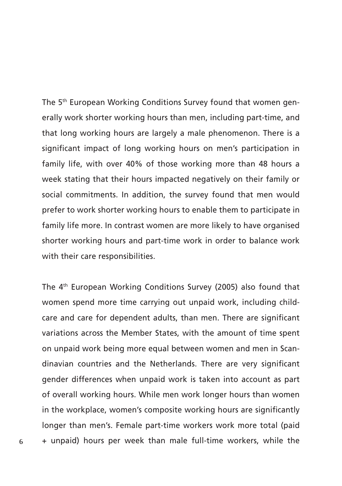The 5<sup>th</sup> European Working Conditions Survey found that women generally work shorter working hours than men, including part-time, and that long working hours are largely a male phenomenon. There is a significant impact of long working hours on men's participation in family life, with over 40% of those working more than 48 hours a week stating that their hours impacted negatively on their family or social commitments. In addition, the survey found that men would prefer to work shorter working hours to enable them to participate in family life more. In contrast women are more likely to have organised shorter working hours and part-time work in order to balance work with their care responsibilities.

The 4th European Working Conditions Survey (2005) also found that women spend more time carrying out unpaid work, including childcare and care for dependent adults, than men. There are significant variations across the Member States, with the amount of time spent on unpaid work being more equal between women and men in Scandinavian countries and the Netherlands. There are very significant gender differences when unpaid work is taken into account as part of overall working hours. While men work longer hours than women in the workplace, women's composite working hours are significantly longer than men's. Female part-time workers work more total (paid + unpaid) hours per week than male full-time workers, while the

**6**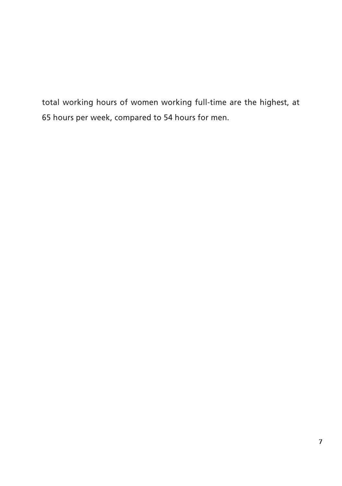total working hours of women working full-time are the highest, at 65 hours per week, compared to 54 hours for men.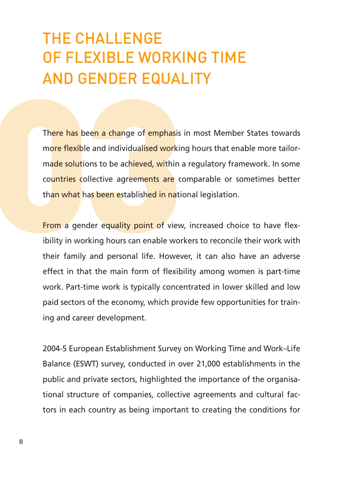## THE CHALLENGE OF FLEXIBLE WORKING TIME AND GENDER EQUALITY

There has been a change of emphasis in most Member States towards more flexible and individualised working hours that enable more tailormade solutions to be achieved, within a regulatory framework. In some countries collective agreements are comparable or sometimes better than what has been established in national legislation. THE CHALLENGE<br>OF FLEXIBLE WORKING TIME<br>AND GENDER EQUALITY<br>There has been a change of emphasis in most Member S<br>more flexible and individualised working hours that enabl<br>made solutions to be achieved, within a regulatory f

From a gender equality point of view, increased choice to have flexibility in working hours can enable workers to reconcile their work with their family and personal life. However, it can also have an adverse effect in that the main form of flexibility among women is part-time work. Part-time work is typically concentrated in lower skilled and low paid sectors of the economy, which provide few opportunities for training and career development.

2004-5 European Establishment Survey on Working Time and Work–Life Balance (ESWT) survey, conducted in over 21,000 establishments in the public and private sectors, highlighted the importance of the organisational structure of companies, collective agreements and cultural factors in each country as being important to creating the conditions for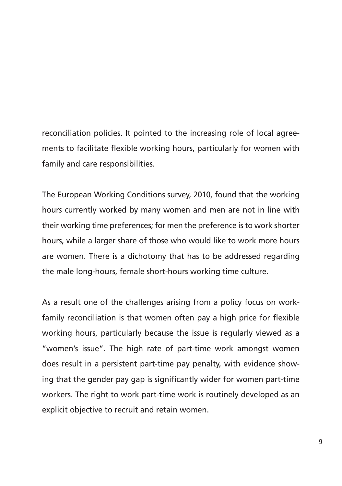reconciliation policies. It pointed to the increasing role of local agreements to facilitate flexible working hours, particularly for women with family and care responsibilities.

The European Working Conditions survey, 2010, found that the working hours currently worked by many women and men are not in line with their working time preferences; for men the preference is to work shorter hours, while a larger share of those who would like to work more hours are women. There is a dichotomy that has to be addressed regarding the male long-hours, female short-hours working time culture.

As a result one of the challenges arising from a policy focus on workfamily reconciliation is that women often pay a high price for flexible working hours, particularly because the issue is regularly viewed as a "women's issue". The high rate of part-time work amongst women does result in a persistent part-time pay penalty, with evidence showing that the gender pay gap is significantly wider for women part-time workers. The right to work part-time work is routinely developed as an explicit objective to recruit and retain women.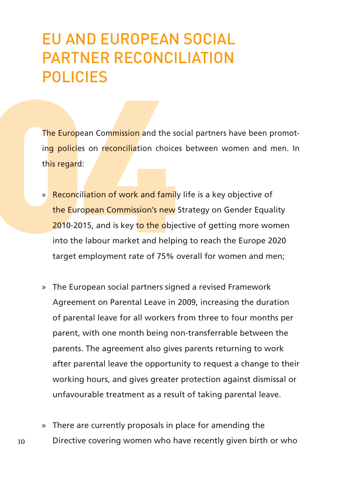## EU AND EUROPEAN SOCIAL PARTNER RECONCILIATION POLICIES

The European Commission and the social partners have been promoting policies on reconciliation choices between women and men. In this regard:

- » Reconciliation of work and family life is a key objective of the European Commission's new Strategy on Gender Equality 2010-2015, and is key to the objective of getting more women into the labour market and helping to reach the Europe 2020 target employment rate of 75% overall for women and men; EU AND EUROPEAN SOCIAL<br>
PARTNER RECONCILIATION<br>
POLICIES<br>
The European Commission and the social partners have<br>
ing policies on reconciliation choices between women<br>
this regard:<br>
» Reconciliation of work and family life i
	- » The European social partners signed a revised Framework Agreement on Parental Leave in 2009, increasing the duration of parental leave for all workers from three to four months per parent, with one month being non-transferrable between the parents. The agreement also gives parents returning to work after parental leave the opportunity to request a change to their working hours, and gives greater protection against dismissal or unfavourable treatment as a result of taking parental leave.
	- » There are currently proposals in place for amending the Directive covering women who have recently given birth or who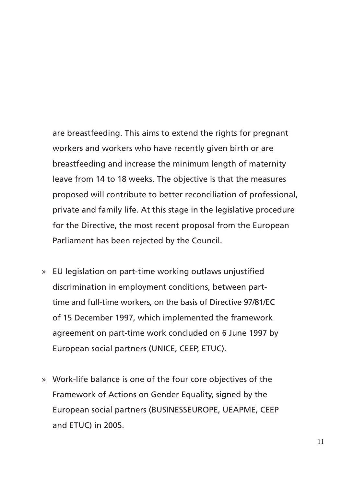are breastfeeding. This aims to extend the rights for pregnant workers and workers who have recently given birth or are breastfeeding and increase the minimum length of maternity leave from 14 to 18 weeks. The objective is that the measures proposed will contribute to better reconciliation of professional, private and family life. At this stage in the legislative procedure for the Directive, the most recent proposal from the European Parliament has been rejected by the Council.

- » EU legislation on part-time working outlaws unjustified discrimination in employment conditions, between parttime and full-time workers, on the basis of Directive 97/81/EC of 15 December 1997, which implemented the framework agreement on part-time work concluded on 6 June 1997 by European social partners (UNICE, CEEP, ETUC).
- » Work-life balance is one of the four core objectives of the Framework of Actions on Gender Equality, signed by the European social partners (BUSINESSEUROPE, UEAPME, CEEP and ETUC) in 2005.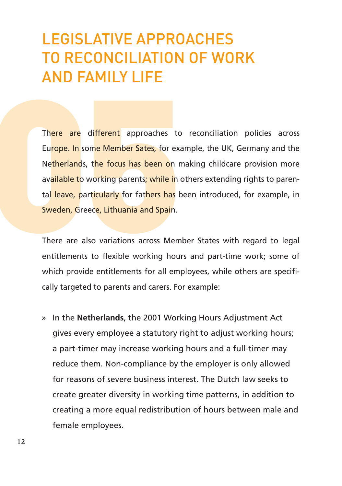### LEGISLATIVE APPROACHES TO RECONCILIATION OF WORK AND FAMILY LIFE

There are different approaches to reconciliation policies across Europe. In some Member Sates, for example, the UK, Germany and the Netherlands, the focus has been on making childcare provision more available to working parents; while in others extending rights to parental leave, particularly for fathers has been introduced, for example, in Sweden, Greece, Lithuania and Spain. LEGISLATIVE APPROACHES<br>TO RECONCILIATION OF WORK<br>AND FAMILY LIFE<br>There are different approaches to reconciliation proton<br>Europe. In some Member Sates, for example, the UK, Gern<br>Netherlands, the focus has been on making chi

There are also variations across Member States with regard to legal entitlements to flexible working hours and part-time work; some of which provide entitlements for all employees, while others are specifically targeted to parents and carers. For example:

» In the **Netherlands**, the 2001 Working Hours Adjustment Act gives every employee a statutory right to adjust working hours; a part-timer may increase working hours and a full-timer may reduce them. Non-compliance by the employer is only allowed for reasons of severe business interest. The Dutch law seeks to create greater diversity in working time patterns, in addition to creating a more equal redistribution of hours between male and female employees.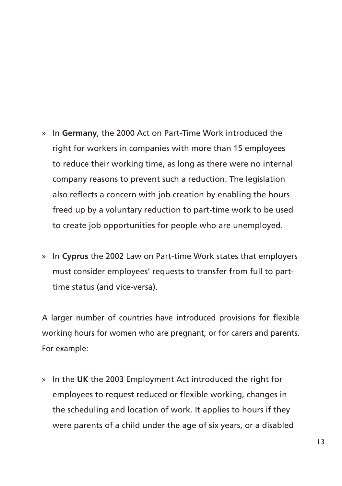- » In **Germany**, the 2000 Act on Part-Time Work introduced the right for workers in companies with more than 15 employees to reduce their working time, as long as there were no internal company reasons to prevent such a reduction. The legislation also reflects a concern with job creation by enabling the hours freed up by a voluntary reduction to part-time work to be used to create job opportunities for people who are unemployed.
- » In **Cyprus** the 2002 Law on Part-time Work states that employers must consider employees' requests to transfer from full to parttime status (and vice-versa).

A larger number of countries have introduced provisions for flexible working hours for women who are pregnant, or for carers and parents. For example:

» In the **UK** the 2003 Employment Act introduced the right for employees to request reduced or flexible working, changes in the scheduling and location of work. It applies to hours if they were parents of a child under the age of six years, or a disabled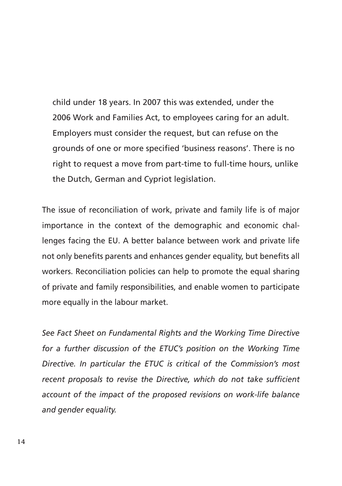child under 18 years. In 2007 this was extended, under the 2006 Work and Families Act, to employees caring for an adult. Employers must consider the request, but can refuse on the grounds of one or more specified 'business reasons'. There is no right to request a move from part-time to full-time hours, unlike the Dutch, German and Cypriot legislation.

The issue of reconciliation of work, private and family life is of major importance in the context of the demographic and economic challenges facing the EU. A better balance between work and private life not only benefits parents and enhances gender equality, but benefits all workers. Reconciliation policies can help to promote the equal sharing of private and family responsibilities, and enable women to participate more equally in the labour market.

*See Fact Sheet on Fundamental Rights and the Working Time Directive for a further discussion of the ETUC's position on the Working Time Directive. In particular the ETUC is critical of the Commission's most recent proposals to revise the Directive, which do not take sufficient account of the impact of the proposed revisions on work-life balance and gender equality.*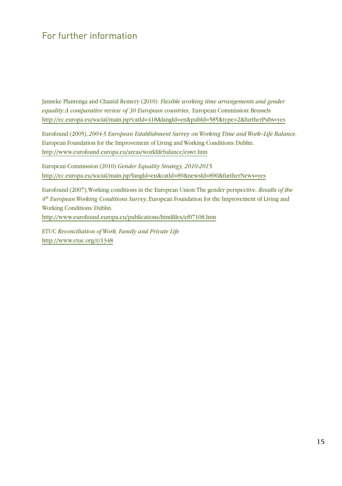### For further information

Janneke Plantenga and Chantal Remery (2010) *Flexible working time arrangements and gender equality: A comparative review of 30 European countries*, European Commission: Brussels http://ec.europa.eu/social/main.jsp?catId=418&langId=en&pubId=585&type=2&furtherPubs=yes

Eurofound (2005), *2004-5 European Establishment Survey on Working Time and Work–Life Balance*. European Foundation for the Improvement of Living and Working Conditions: Dublin. http://www.eurofound.europa.eu/areas/worklifebalance/eswt.htm

European Commission (2010) *Gender Equality Strategy, 2010-2015.* http://ec.europa.eu/social/main.jsp?langId=en&catId=89&newsId=890&furtherNews=yes

Eurofound (2007), Working conditions in the European Union: The gender perspective. *Results of the 4th European Working Conditions Survey*, European Foundation for the Improvement of Living and Working Conditions: Dublin. http://www.eurofound.europa.eu/publications/htmlfiles/ef07108.htm

ETUC *Reconciliation of Work, Family and Private Life* http://www.etuc.org/r/1348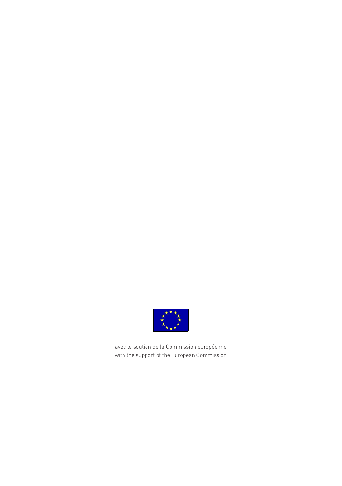

avec le soutien de la Commission européenne with the support of the European Commission